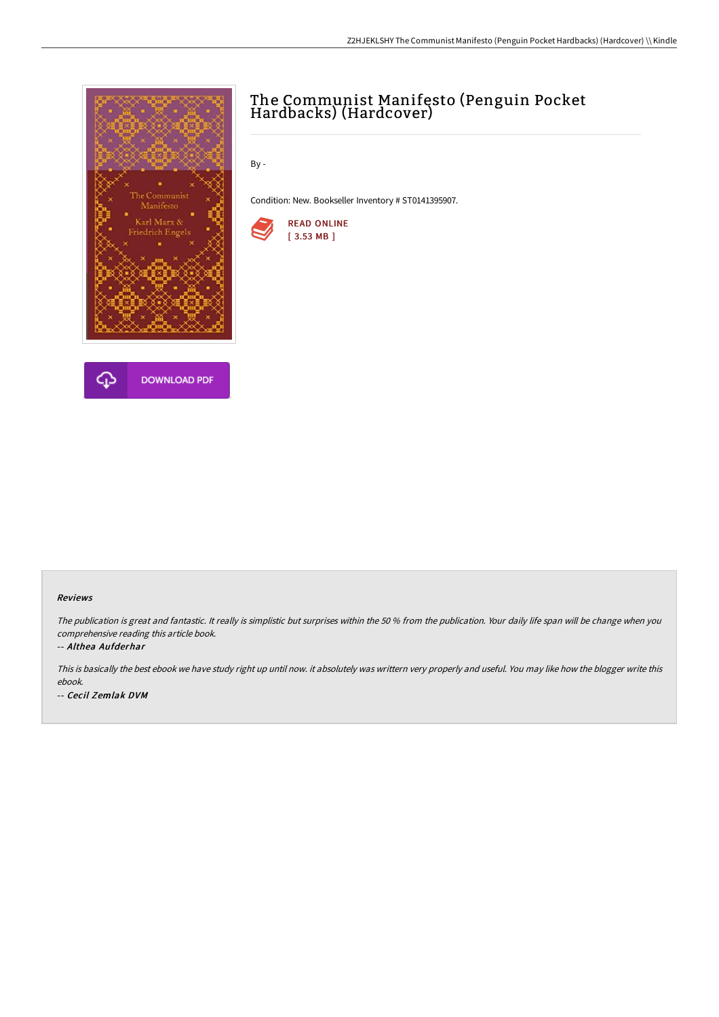

## The Communist Manifesto (Penguin Pocket Hardbacks) (Hardcover)

By -

Condition: New. Bookseller Inventory # ST0141395907.



## Reviews

The publication is great and fantastic. It really is simplistic but surprises within the <sup>50</sup> % from the publication. Your daily life span will be change when you comprehensive reading this article book.

## -- Althea Aufderhar

This is basically the best ebook we have study right up until now. it absolutely was writtern very properly and useful. You may like how the blogger write this ebook. -- Cecil Zemlak DVM